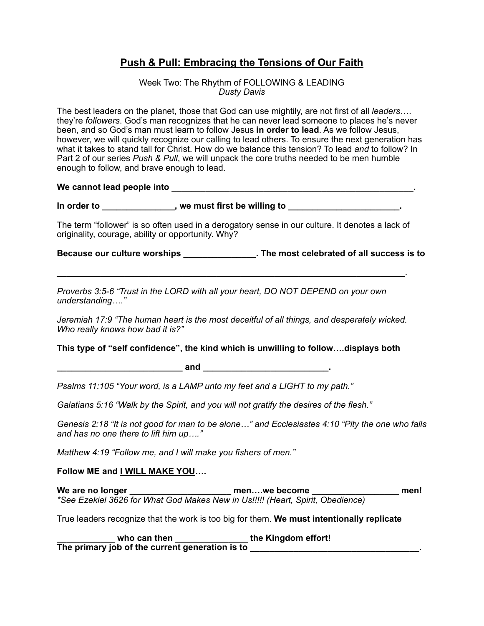## **Push & Pull: Embracing the Tensions of Our Faith**

Week Two: The Rhythm of FOLLOWING & LEADING *Dusty Davis*

The best leaders on the planet, those that God can use mightily, are not first of all *leaders*…. they're *followers*. God's man recognizes that he can never lead someone to places he's never been, and so God's man must learn to follow Jesus **in order to lead**. As we follow Jesus, however, we will quickly recognize our calling to lead others. To ensure the next generation has what it takes to stand tall for Christ. How do we balance this tension? To lead *and* to follow? In Part 2 of our series *Push & Pull*, we will unpack the core truths needed to be men humble enough to follow, and brave enough to lead.

We cannot lead people into **we cannot lead people** into

In order to **Interprettive and the same of the willing to**  $\cdot$  **.** 

The term "follower" is so often used in a derogatory sense in our culture. It denotes a lack of originality, courage, ability or opportunity. Why?

\_\_\_\_\_\_\_\_\_\_\_\_\_\_\_\_\_\_\_\_\_\_\_\_\_\_\_\_\_\_\_\_\_\_\_\_\_\_\_\_\_\_\_\_\_\_\_\_\_\_\_\_\_\_\_\_\_\_\_\_\_\_\_\_\_\_\_\_\_\_\_\_.

**Because our culture worships \_\_\_\_\_\_\_\_\_\_\_\_\_\_\_. The most celebrated of all success is to**

*Proverbs 3:5-6 "Trust in the LORD with all your heart, DO NOT DEPEND on your own understanding…."*

*Jeremiah 17:9 "The human heart is the most deceitful of all things, and desperately wicked. Who really knows how bad it is?"*

**This type of "self confidence", the kind which is unwilling to follow….displays both**

and the contract of  $\overline{a}$  and  $\overline{a}$  and  $\overline{a}$  and  $\overline{a}$  and  $\overline{a}$  and  $\overline{a}$  and  $\overline{a}$  and  $\overline{a}$  and  $\overline{a}$  and  $\overline{a}$  and  $\overline{a}$  and  $\overline{a}$  and  $\overline{a}$  and  $\overline{a}$  and  $\overline{a}$  and  $\overline{a}$ 

*Psalms 11:105 "Your word, is a LAMP unto my feet and a LIGHT to my path."*

*Galatians 5:16 "Walk by the Spirit, and you will not gratify the desires of the flesh."*

*Genesis 2:18 "It is not good for man to be alone…" and Ecclesiastes 4:10 "Pity the one who falls and has no one there to lift him up…."*

*Matthew 4:19 "Follow me, and I will make you fishers of men."*

**Follow ME and I WILL MAKE YOU….**

**We are no longer \_\_\_\_\_\_\_\_\_\_\_\_\_\_\_\_\_\_\_\_\_ men….we become \_\_\_\_\_\_\_\_\_\_\_\_\_\_\_\_\_\_ men!** *\*See Ezekiel 3626 for What God Makes New in Us!!!!! (Heart, Spirit, Obedience)*

True leaders recognize that the work is too big for them. **We must intentionally replicate** 

who can then **\_\_\_\_\_\_\_\_\_\_\_\_\_\_\_\_\_\_\_** the Kingdom effort! **The primary job of the current generation is to \_\_\_\_\_\_\_\_\_\_\_\_\_\_\_\_\_\_\_\_\_\_\_\_\_\_\_\_\_\_\_\_\_\_\_.**